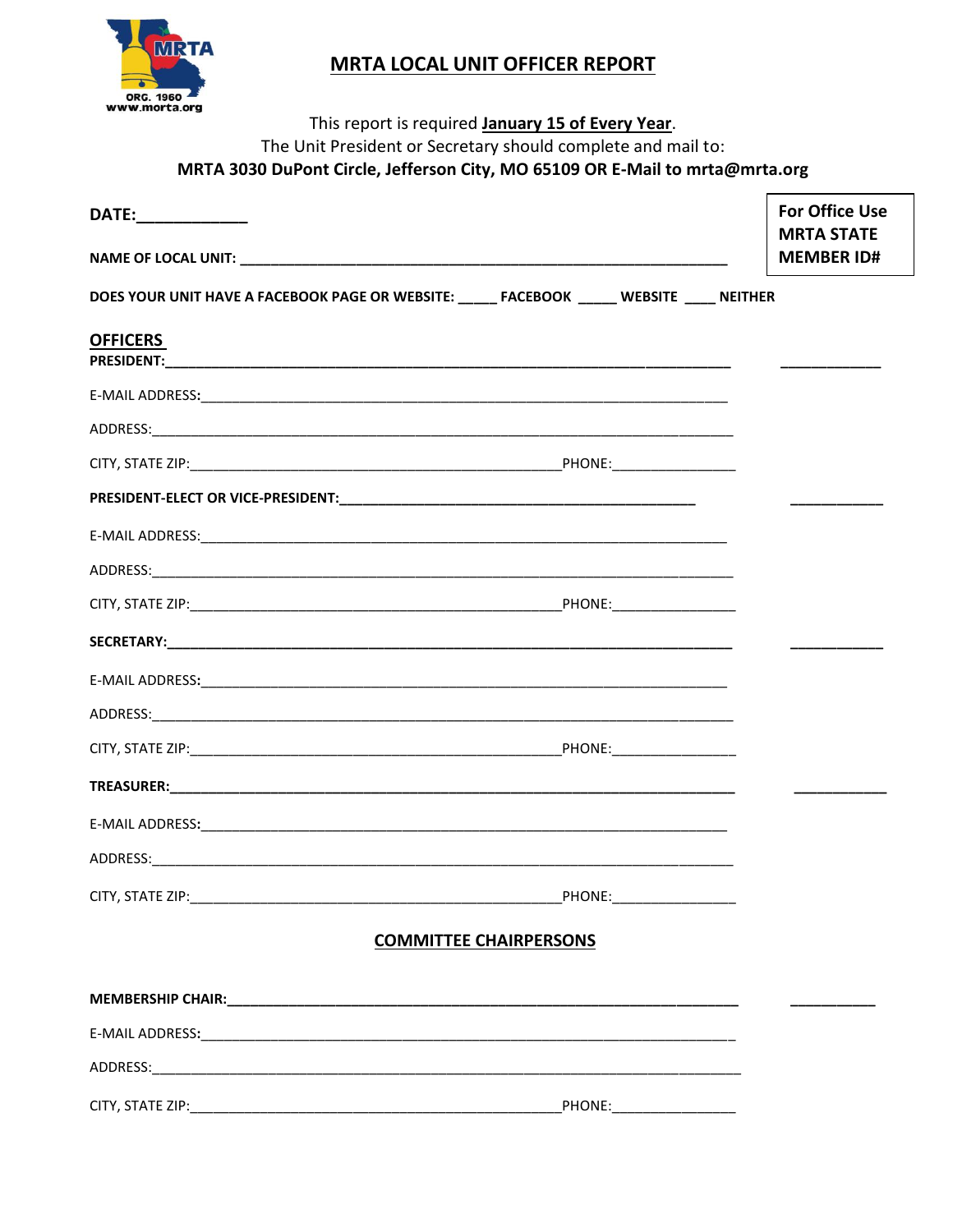

## **MRTA LOCAL UNIT OFFICER REPORT**

|                    | This report is required January 15 of Every Year.                                            |                                            |
|--------------------|----------------------------------------------------------------------------------------------|--------------------------------------------|
|                    | The Unit President or Secretary should complete and mail to:                                 |                                            |
|                    | MRTA 3030 DuPont Circle, Jefferson City, MO 65109 OR E-Mail to mrta@mrta.org                 |                                            |
| DATE:_____________ |                                                                                              | <b>For Office Use</b><br><b>MRTA STATE</b> |
|                    |                                                                                              | <b>MEMBER ID#</b>                          |
|                    | DOES YOUR UNIT HAVE A FACEBOOK PAGE OR WEBSITE: ______ FACEBOOK ______ WEBSITE _____ NEITHER |                                            |
| <b>OFFICERS</b>    |                                                                                              |                                            |
|                    |                                                                                              |                                            |
|                    |                                                                                              |                                            |
|                    |                                                                                              |                                            |
|                    |                                                                                              |                                            |
|                    |                                                                                              |                                            |
|                    |                                                                                              |                                            |
|                    |                                                                                              |                                            |
|                    |                                                                                              |                                            |
|                    |                                                                                              |                                            |
|                    |                                                                                              |                                            |
|                    |                                                                                              |                                            |
|                    |                                                                                              |                                            |
|                    |                                                                                              |                                            |
|                    |                                                                                              |                                            |
|                    |                                                                                              |                                            |
|                    | <b>COMMITTEE CHAIRPERSONS</b>                                                                |                                            |
|                    |                                                                                              |                                            |
|                    |                                                                                              |                                            |
|                    |                                                                                              |                                            |
|                    |                                                                                              |                                            |